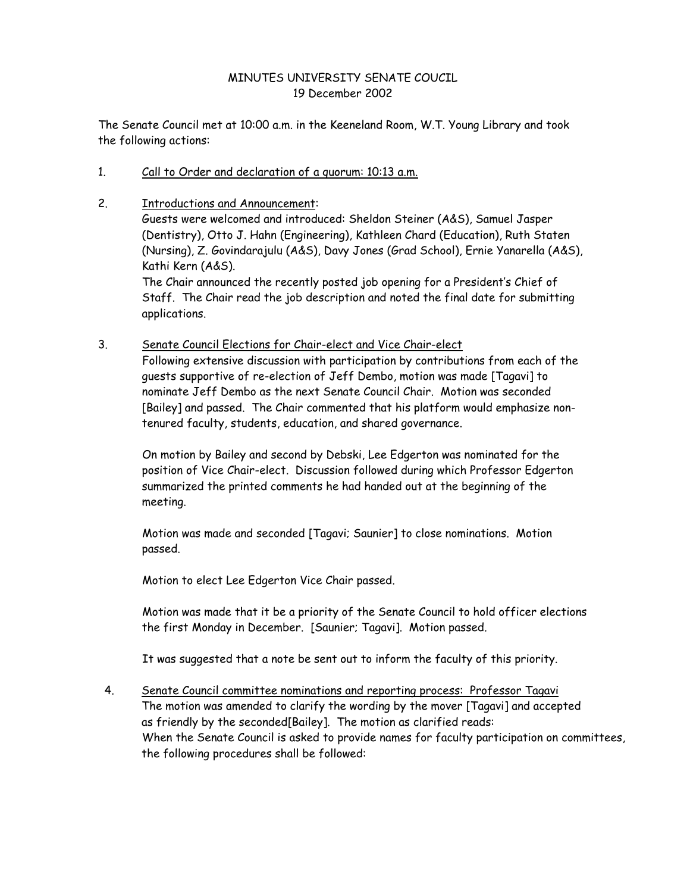## MINUTES UNIVERSITY SENATE COUCIL 19 December 2002

The Senate Council met at 10:00 a.m. in the Keeneland Room, W.T. Young Library and took the following actions:

- 1. Call to Order and declaration of a quorum: 10:13 a.m.
- 2. Introductions and Announcement: Guests were welcomed and introduced: Sheldon Steiner (A&S), Samuel Jasper

(Dentistry), Otto J. Hahn (Engineering), Kathleen Chard (Education), Ruth Staten (Nursing), Z. Govindarajulu (A&S), Davy Jones (Grad School), Ernie Yanarella (A&S), Kathi Kern (A&S).

The Chair announced the recently posted job opening for a President's Chief of Staff. The Chair read the job description and noted the final date for submitting applications.

3. Senate Council Elections for Chair-elect and Vice Chair-elect

Following extensive discussion with participation by contributions from each of the guests supportive of re-election of Jeff Dembo, motion was made [Tagavi] to nominate Jeff Dembo as the next Senate Council Chair. Motion was seconded [Bailey] and passed. The Chair commented that his platform would emphasize nontenured faculty, students, education, and shared governance.

On motion by Bailey and second by Debski, Lee Edgerton was nominated for the position of Vice Chair-elect. Discussion followed during which Professor Edgerton summarized the printed comments he had handed out at the beginning of the meeting.

Motion was made and seconded [Tagavi; Saunier] to close nominations. Motion passed.

Motion to elect Lee Edgerton Vice Chair passed.

Motion was made that it be a priority of the Senate Council to hold officer elections the first Monday in December. [Saunier; Tagavi]. Motion passed.

It was suggested that a note be sent out to inform the faculty of this priority.

4. Senate Council committee nominations and reporting process: Professor Tagavi The motion was amended to clarify the wording by the mover [Tagavi] and accepted as friendly by the seconded[Bailey]. The motion as clarified reads: When the Senate Council is asked to provide names for faculty participation on committees, the following procedures shall be followed: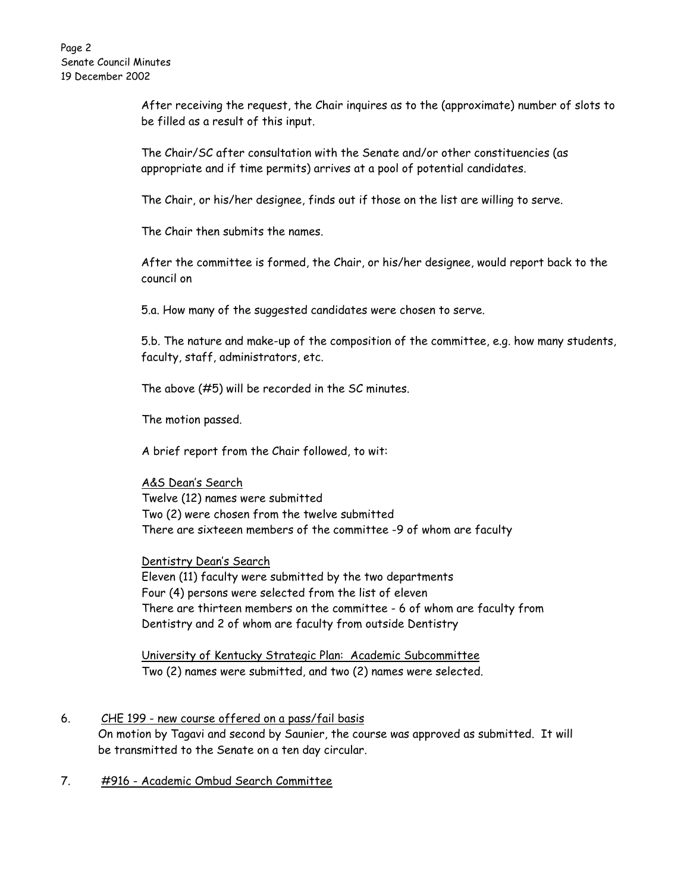After receiving the request, the Chair inquires as to the (approximate) number of slots to be filled as a result of this input.

The Chair/SC after consultation with the Senate and/or other constituencies (as appropriate and if time permits) arrives at a pool of potential candidates.

The Chair, or his/her designee, finds out if those on the list are willing to serve.

The Chair then submits the names.

After the committee is formed, the Chair, or his/her designee, would report back to the council on

5.a. How many of the suggested candidates were chosen to serve.

5.b. The nature and make-up of the composition of the committee, e.g. how many students, faculty, staff, administrators, etc.

The above (#5) will be recorded in the SC minutes.

The motion passed.

A brief report from the Chair followed, to wit:

## A&S Dean's Search

Twelve (12) names were submitted Two (2) were chosen from the twelve submitted There are sixteeen members of the committee -9 of whom are faculty

## Dentistry Dean's Search

Eleven (11) faculty were submitted by the two departments Four (4) persons were selected from the list of eleven There are thirteen members on the committee - 6 of whom are faculty from Dentistry and 2 of whom are faculty from outside Dentistry

University of Kentucky Strategic Plan: Academic Subcommittee Two (2) names were submitted, and two (2) names were selected.

- 6. CHE 199 new course offered on a pass/fail basis On motion by Tagavi and second by Saunier, the course was approved as submitted. It will be transmitted to the Senate on a ten day circular.
- 7. #916 Academic Ombud Search Committee